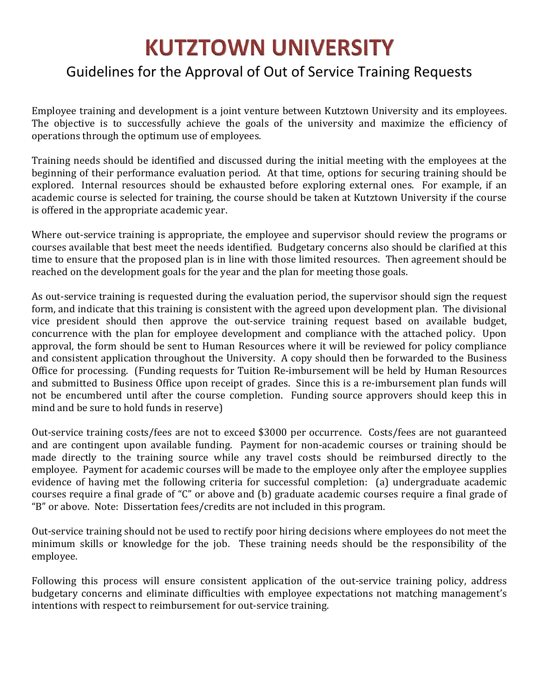## **KUTZTOWN UNIVERSITY**

#### Guidelines for the Approval of Out of Service Training Requests

Employee training and development is a joint venture between Kutztown University and its employees. The objective is to successfully achieve the goals of the university and maximize the efficiency of operations through the optimum use of employees.

Training needs should be identified and discussed during the initial meeting with the employees at the beginning of their performance evaluation period. At that time, options for securing training should be explored. Internal resources should be exhausted before exploring external ones. For example, if an academic course is selected for training, the course should be taken at Kutztown University if the course is offered in the appropriate academic year.

Where out-service training is appropriate, the employee and supervisor should review the programs or courses available that best meet the needs identified. Budgetary concerns also should be clarified at this time to ensure that the proposed plan is in line with those limited resources. Then agreement should be reached on the development goals for the year and the plan for meeting those goals.

As out-service training is requested during the evaluation period, the supervisor should sign the request form, and indicate that this training is consistent with the agreed upon development plan. The divisional vice president should then approve the out-service training request based on available budget, concurrence with the plan for employee development and compliance with the attached policy. Upon approval, the form should be sent to Human Resources where it will be reviewed for policy compliance and consistent application throughout the University. A copy should then be forwarded to the Business Office for processing. (Funding requests for Tuition Re-imbursement will be held by Human Resources and submitted to Business Office upon receipt of grades. Since this is a re-imbursement plan funds will not be encumbered until after the course completion. Funding source approvers should keep this in mind and be sure to hold funds in reserve)

Out-service training costs/fees are not to exceed \$3000 per occurrence. Costs/fees are not guaranteed and are contingent upon available funding. Payment for non-academic courses or training should be made directly to the training source while any travel costs should be reimbursed directly to the employee. Payment for academic courses will be made to the employee only after the employee supplies evidence of having met the following criteria for successful completion: (a) undergraduate academic courses require a final grade of "C" or above and (b) graduate academic courses require a final grade of "B" or above. Note: Dissertation fees/credits are not included in this program.

Out-service training should not be used to rectify poor hiring decisions where employees do not meet the minimum skills or knowledge for the job. These training needs should be the responsibility of the employee. 

Following this process will ensure consistent application of the out-service training policy, address budgetary concerns and eliminate difficulties with employee expectations not matching management's intentions with respect to reimbursement for out-service training.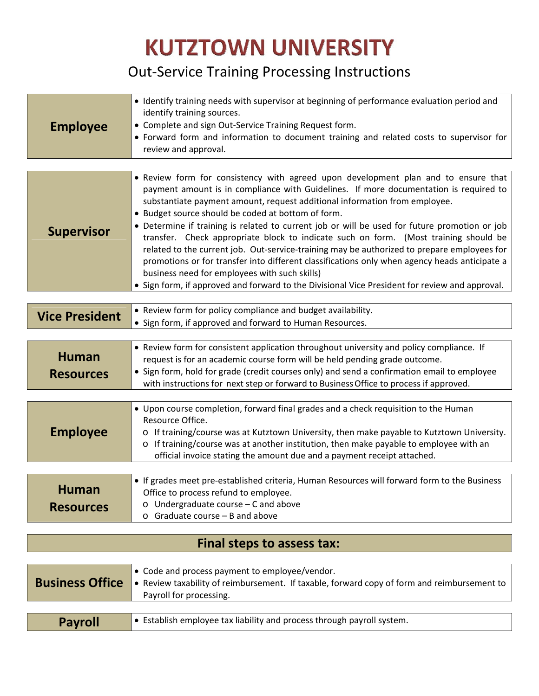# **KUTZTOWN UNIVERSITY**

## Out‐Service Training Processing Instructions

| <b>Employee</b> | • Identify training needs with supervisor at beginning of performance evaluation period and<br>identify training sources.<br>• Complete and sign Out-Service Training Request form.<br>• Forward form and information to document training and related costs to supervisor for<br>review and approval. |
|-----------------|--------------------------------------------------------------------------------------------------------------------------------------------------------------------------------------------------------------------------------------------------------------------------------------------------------|
|-----------------|--------------------------------------------------------------------------------------------------------------------------------------------------------------------------------------------------------------------------------------------------------------------------------------------------------|

|                   | • Review form for consistency with agreed upon development plan and to ensure that<br>payment amount is in compliance with Guidelines. If more documentation is required to<br>substantiate payment amount, request additional information from employee. |
|-------------------|-----------------------------------------------------------------------------------------------------------------------------------------------------------------------------------------------------------------------------------------------------------|
| <b>Supervisor</b> | • Budget source should be coded at bottom of form.<br>• Determine if training is related to current job or will be used for future promotion or job<br>transfer. Check appropriate block to indicate such on form. (Most training should be               |
|                   | related to the current job. Out-service-training may be authorized to prepare employees for<br>promotions or for transfer into different classifications only when agency heads anticipate a<br>business need for employees with such skills)             |
|                   | • Sign form, if approved and forward to the Divisional Vice President for review and approval.                                                                                                                                                            |

| <b>Vice President</b>            | • Review form for policy compliance and budget availability.<br>• Sign form, if approved and forward to Human Resources.                                                                                                                                                                                                                                       |
|----------------------------------|----------------------------------------------------------------------------------------------------------------------------------------------------------------------------------------------------------------------------------------------------------------------------------------------------------------------------------------------------------------|
|                                  |                                                                                                                                                                                                                                                                                                                                                                |
| <b>Human</b><br><b>Resources</b> | • Review form for consistent application throughout university and policy compliance. If<br>request is for an academic course form will be held pending grade outcome.<br>• Sign form, hold for grade (credit courses only) and send a confirmation email to employee<br>with instructions for next step or forward to Business Office to process if approved. |

| <b>Employee</b> | • Upon course completion, forward final grades and a check requisition to the Human<br>Resource Office.<br>o If training/course was at Kutztown University, then make payable to Kutztown University.<br>o If training/course was at another institution, then make payable to employee with an<br>official invoice stating the amount due and a payment receipt attached. |
|-----------------|----------------------------------------------------------------------------------------------------------------------------------------------------------------------------------------------------------------------------------------------------------------------------------------------------------------------------------------------------------------------------|
|                 |                                                                                                                                                                                                                                                                                                                                                                            |

| <b>Human</b>     | $\bullet$ If grades meet pre-established criteria, Human Resources will forward form to the Business<br>Office to process refund to employee. |  |  |  |  |  |  |  |  |
|------------------|-----------------------------------------------------------------------------------------------------------------------------------------------|--|--|--|--|--|--|--|--|
| <b>Resources</b> | $\circ$ Undergraduate course – C and above<br>$\circ$ Graduate course – B and above                                                           |  |  |  |  |  |  |  |  |

#### **Final steps to assess tax:**

| <b>Business Office</b> | $\bullet$ Code and process payment to employee/vendor.<br>Review taxability of reimbursement. If taxable, forward copy of form and reimbursement to<br>Payroll for processing. |
|------------------------|--------------------------------------------------------------------------------------------------------------------------------------------------------------------------------|
|                        |                                                                                                                                                                                |
| <b>Payroll</b>         | $\bullet$ Establish employee tax liability and process through payroll system.                                                                                                 |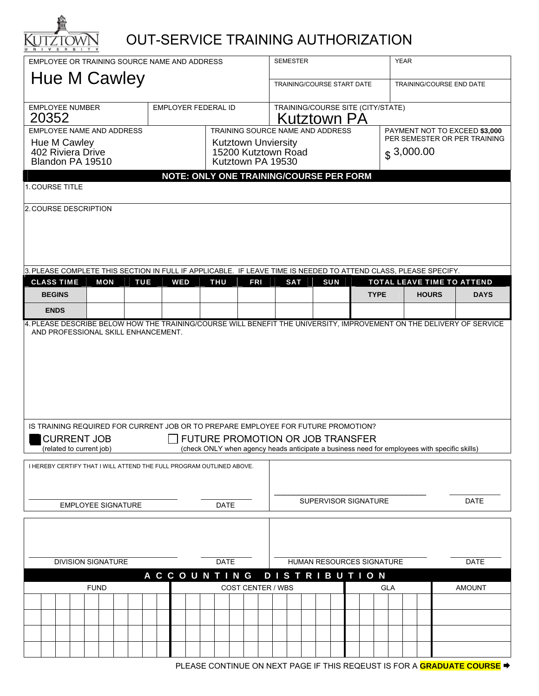

### OUT-SERVICE TRAINING AUTHORIZATION

| EMPLOYEE OR TRAINING SOURCE NAME AND ADDRESS                                                                                                            |                                                                                                                 |  |                                                |  |            |  |  |            |  |  |                                   | <b>SEMESTER</b><br><b>YEAR</b> |            |                                                                                                   |  |            |                     |                                                        |            |  |            |            |    |  |             |               |  |  |              |  |                                                                                              |                            |  |
|---------------------------------------------------------------------------------------------------------------------------------------------------------|-----------------------------------------------------------------------------------------------------------------|--|------------------------------------------------|--|------------|--|--|------------|--|--|-----------------------------------|--------------------------------|------------|---------------------------------------------------------------------------------------------------|--|------------|---------------------|--------------------------------------------------------|------------|--|------------|------------|----|--|-------------|---------------|--|--|--------------|--|----------------------------------------------------------------------------------------------|----------------------------|--|
|                                                                                                                                                         |                                                                                                                 |  |                                                |  |            |  |  |            |  |  |                                   |                                |            |                                                                                                   |  |            |                     | TRAINING/COURSE START DATE<br>TRAINING/COURSE END DATE |            |  |            |            |    |  |             |               |  |  |              |  |                                                                                              |                            |  |
| <b>EMPLOYEE NUMBER</b>                                                                                                                                  |                                                                                                                 |  |                                                |  |            |  |  |            |  |  | EMPLOYER FEDERAL ID               |                                |            |                                                                                                   |  |            |                     | TRAINING/COURSE SITE (CITY/STATE)                      |            |  |            |            |    |  |             |               |  |  |              |  |                                                                                              |                            |  |
| <b>EMPLOYEE NAME AND ADDRESS</b>                                                                                                                        |                                                                                                                 |  |                                                |  |            |  |  |            |  |  |                                   |                                |            | TRAINING SOURCE NAME AND ADDRESS<br>PAYMENT NOT TO EXCEED \$3,000<br>PER SEMESTER OR PER TRAINING |  |            |                     |                                                        |            |  |            |            |    |  |             |               |  |  |              |  |                                                                                              |                            |  |
|                                                                                                                                                         | NOTE: ONLY ONE TRAINING/COURSE PER FORM                                                                         |  |                                                |  |            |  |  |            |  |  |                                   |                                |            |                                                                                                   |  |            |                     |                                                        |            |  |            |            | \$ |  |             |               |  |  |              |  |                                                                                              |                            |  |
|                                                                                                                                                         |                                                                                                                 |  |                                                |  |            |  |  |            |  |  |                                   |                                |            |                                                                                                   |  |            |                     |                                                        |            |  |            |            |    |  |             |               |  |  |              |  |                                                                                              |                            |  |
| 1. COURSE TITLE                                                                                                                                         |                                                                                                                 |  |                                                |  |            |  |  |            |  |  |                                   |                                |            |                                                                                                   |  |            |                     |                                                        |            |  |            |            |    |  |             |               |  |  |              |  |                                                                                              |                            |  |
|                                                                                                                                                         | 2. COURSE DESCRIPTION                                                                                           |  |                                                |  |            |  |  |            |  |  |                                   |                                |            |                                                                                                   |  |            |                     |                                                        |            |  |            |            |    |  |             |               |  |  |              |  |                                                                                              |                            |  |
|                                                                                                                                                         | 3. PLEASE COMPLETE THIS SECTION IN FULL IF APPLICABLE. IF LEAVE TIME IS NEEDED TO ATTEND CLASS, PLEASE SPECIFY. |  |                                                |  |            |  |  |            |  |  |                                   |                                |            |                                                                                                   |  |            |                     |                                                        |            |  |            |            |    |  |             |               |  |  |              |  |                                                                                              |                            |  |
| <b>CLASS TIME</b>                                                                                                                                       |                                                                                                                 |  |                                                |  | <b>MON</b> |  |  | <b>TUE</b> |  |  | <b>WED</b>                        |                                | <b>THU</b> |                                                                                                   |  | <b>FRI</b> |                     |                                                        | <b>SAT</b> |  |            | <b>SUN</b> |    |  |             |               |  |  |              |  |                                                                                              | TOTAL LEAVE TIME TO ATTEND |  |
|                                                                                                                                                         | <b>BEGINS</b>                                                                                                   |  |                                                |  |            |  |  |            |  |  |                                   |                                |            |                                                                                                   |  |            |                     |                                                        |            |  |            |            |    |  | <b>TYPE</b> |               |  |  | <b>HOURS</b> |  |                                                                                              | <b>DAYS</b>                |  |
|                                                                                                                                                         | <b>ENDS</b>                                                                                                     |  |                                                |  |            |  |  |            |  |  |                                   |                                |            |                                                                                                   |  |            |                     |                                                        |            |  |            |            |    |  |             |               |  |  |              |  |                                                                                              |                            |  |
| IS TRAINING REQUIRED FOR CURRENT JOB OR TO PREPARE EMPLOYEE FOR FUTURE PROMOTION?                                                                       |                                                                                                                 |  |                                                |  |            |  |  |            |  |  |                                   |                                |            |                                                                                                   |  |            |                     |                                                        |            |  |            |            |    |  |             |               |  |  |              |  |                                                                                              |                            |  |
|                                                                                                                                                         |                                                                                                                 |  | <b>CURRENT JOB</b><br>(related to current job) |  |            |  |  |            |  |  | FUTURE PROMOTION OR JOB TRANSFER  |                                |            |                                                                                                   |  |            |                     |                                                        |            |  |            |            |    |  |             |               |  |  |              |  | (check ONLY when agency heads anticipate a business need for employees with specific skills) |                            |  |
|                                                                                                                                                         |                                                                                                                 |  |                                                |  |            |  |  |            |  |  |                                   |                                |            |                                                                                                   |  |            |                     |                                                        |            |  |            |            |    |  |             |               |  |  |              |  |                                                                                              |                            |  |
| I HEREBY CERTIFY THAT I WILL ATTEND THE FULL PROGRAM OUTLINED ABOVE.<br>SUPERVISOR SIGNATURE<br><b>DATE</b><br><b>EMPLOYEE SIGNATURE</b><br><b>DATE</b> |                                                                                                                 |  |                                                |  |            |  |  |            |  |  |                                   |                                |            |                                                                                                   |  |            |                     |                                                        |            |  |            |            |    |  |             |               |  |  |              |  |                                                                                              |                            |  |
|                                                                                                                                                         |                                                                                                                 |  |                                                |  |            |  |  |            |  |  |                                   |                                |            |                                                                                                   |  |            |                     |                                                        |            |  |            |            |    |  |             |               |  |  |              |  |                                                                                              |                            |  |
| <b>DIVISION SIGNATURE</b><br><b>DATE</b>                                                                                                                |                                                                                                                 |  |                                                |  |            |  |  |            |  |  | HUMAN RESOURCES SIGNATURE<br>DATE |                                |            |                                                                                                   |  |            |                     |                                                        |            |  |            |            |    |  |             |               |  |  |              |  |                                                                                              |                            |  |
| <b>ACCOUNTING</b>                                                                                                                                       |                                                                                                                 |  |                                                |  |            |  |  |            |  |  |                                   |                                |            |                                                                                                   |  |            | <b>DISTRIBUTION</b> |                                                        |            |  |            |            |    |  |             |               |  |  |              |  |                                                                                              |                            |  |
|                                                                                                                                                         | <b>COST CENTER / WBS</b><br><b>FUND</b>                                                                         |  |                                                |  |            |  |  |            |  |  |                                   |                                |            |                                                                                                   |  |            |                     |                                                        |            |  | <b>GLA</b> |            |    |  |             | <b>AMOUNT</b> |  |  |              |  |                                                                                              |                            |  |
|                                                                                                                                                         |                                                                                                                 |  |                                                |  |            |  |  |            |  |  |                                   |                                |            |                                                                                                   |  |            |                     |                                                        |            |  |            |            |    |  |             |               |  |  |              |  |                                                                                              |                            |  |
|                                                                                                                                                         |                                                                                                                 |  |                                                |  |            |  |  |            |  |  |                                   |                                |            |                                                                                                   |  |            |                     |                                                        |            |  |            |            |    |  |             |               |  |  |              |  |                                                                                              |                            |  |
|                                                                                                                                                         |                                                                                                                 |  |                                                |  |            |  |  |            |  |  |                                   |                                |            |                                                                                                   |  |            |                     |                                                        |            |  |            |            |    |  |             |               |  |  |              |  |                                                                                              |                            |  |
|                                                                                                                                                         |                                                                                                                 |  |                                                |  |            |  |  |            |  |  |                                   |                                |            |                                                                                                   |  |            |                     |                                                        |            |  |            |            |    |  |             |               |  |  |              |  |                                                                                              |                            |  |

PLEASE CONTINUE ON NEXT PAGE IF THIS REQEUST IS FOR A **GRADUATE COURSE**